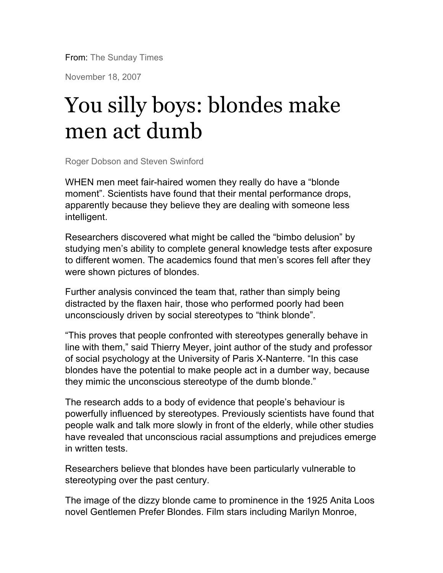From: The Sunday Times

November 18, 2007

# You silly boys: blondes make men act dumb

Roger Dobson and Steven Swinford

WHEN men meet fair-haired women they really do have a "blonde moment". Scientists have found that their mental performance drops, apparently because they believe they are dealing with someone less intelligent.

Researchers discovered what might be called the "bimbo delusion" by studying men's ability to complete general knowledge tests after exposure to different women. The academics found that men's scores fell after they were shown pictures of blondes.

Further analysis convinced the team that, rather than simply being distracted by the flaxen hair, those who performed poorly had been unconsciously driven by social stereotypes to "think blonde".

"This proves that people confronted with stereotypes generally behave in line with them," said Thierry Meyer, joint author of the study and professor of social psychology at the University of Paris X-Nanterre. "In this case blondes have the potential to make people act in a dumber way, because they mimic the unconscious stereotype of the dumb blonde."

The research adds to a body of evidence that people's behaviour is powerfully influenced by stereotypes. Previously scientists have found that people walk and talk more slowly in front of the elderly, while other studies have revealed that unconscious racial assumptions and prejudices emerge in written tests.

Researchers believe that blondes have been particularly vulnerable to stereotyping over the past century.

The image of the dizzy blonde came to prominence in the 1925 Anita Loos novel Gentlemen Prefer Blondes. Film stars including Marilyn Monroe,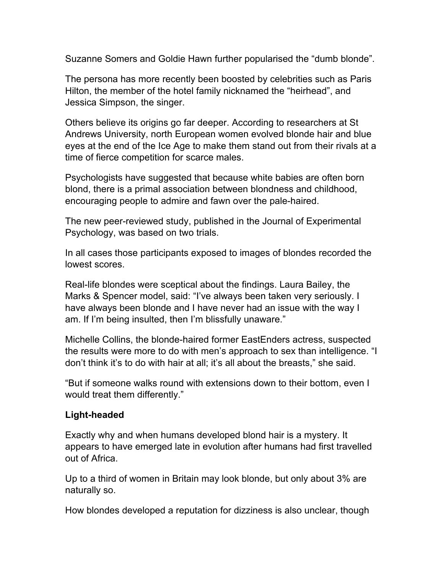Suzanne Somers and Goldie Hawn further popularised the "dumb blonde".

The persona has more recently been boosted by celebrities such as Paris Hilton, the member of the hotel family nicknamed the "heirhead", and Jessica Simpson, the singer.

Others believe its origins go far deeper. According to researchers at St Andrews University, north European women evolved blonde hair and blue eyes at the end of the Ice Age to make them stand out from their rivals at a time of fierce competition for scarce males.

Psychologists have suggested that because white babies are often born blond, there is a primal association between blondness and childhood, encouraging people to admire and fawn over the pale-haired.

The new peer-reviewed study, published in the Journal of Experimental Psychology, was based on two trials.

In all cases those participants exposed to images of blondes recorded the lowest scores.

Real-life blondes were sceptical about the findings. Laura Bailey, the Marks & Spencer model, said: "I've always been taken very seriously. I have always been blonde and I have never had an issue with the way I am. If I'm being insulted, then I'm blissfully unaware."

Michelle Collins, the blonde-haired former EastEnders actress, suspected the results were more to do with men's approach to sex than intelligence. "I don't think it's to do with hair at all; it's all about the breasts," she said.

"But if someone walks round with extensions down to their bottom, even I would treat them differently."

# **Light-headed**

Exactly why and when humans developed blond hair is a mystery. It appears to have emerged late in evolution after humans had first travelled out of Africa.

Up to a third of women in Britain may look blonde, but only about 3% are naturally so.

How blondes developed a reputation for dizziness is also unclear, though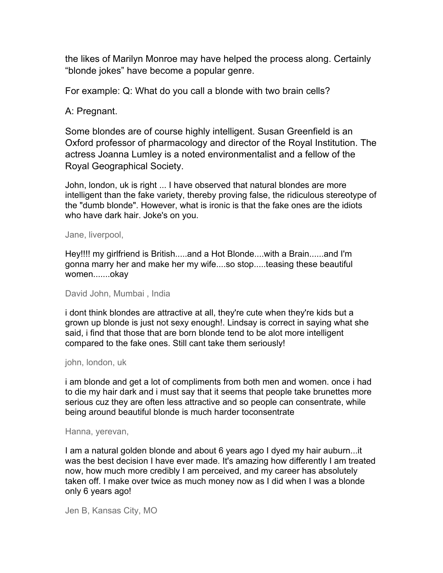the likes of Marilyn Monroe may have helped the process along. Certainly "blonde jokes" have become a popular genre.

For example: Q: What do you call a blonde with two brain cells?

## A: Pregnant.

Some blondes are of course highly intelligent. Susan Greenfield is an Oxford professor of pharmacology and director of the Royal Institution. The actress Joanna Lumley is a noted environmentalist and a fellow of the Royal Geographical Society.

John, london, uk is right ... I have observed that natural blondes are more intelligent than the fake variety, thereby proving false, the ridiculous stereotype of the "dumb blonde". However, what is ironic is that the fake ones are the idiots who have dark hair. Joke's on you.

#### Jane, liverpool,

Hey!!!! my girlfriend is British.....and a Hot Blonde....with a Brain......and I'm gonna marry her and make her my wife....so stop.....teasing these beautiful women.......okay

David John, Mumbai , India

i dont think blondes are attractive at all, they're cute when they're kids but a grown up blonde is just not sexy enough!. Lindsay is correct in saying what she said, i find that those that are born blonde tend to be alot more intelligent compared to the fake ones. Still cant take them seriously!

#### john, london, uk

i am blonde and get a lot of compliments from both men and women. once i had to die my hair dark and i must say that it seems that people take brunettes more serious cuz they are often less attractive and so people can consentrate, while being around beautiful blonde is much harder toconsentrate

#### Hanna, yerevan,

I am a natural golden blonde and about 6 years ago I dyed my hair auburn...it was the best decision I have ever made. It's amazing how differently I am treated now, how much more credibly I am perceived, and my career has absolutely taken off. I make over twice as much money now as I did when I was a blonde only 6 years ago!

Jen B, Kansas City, MO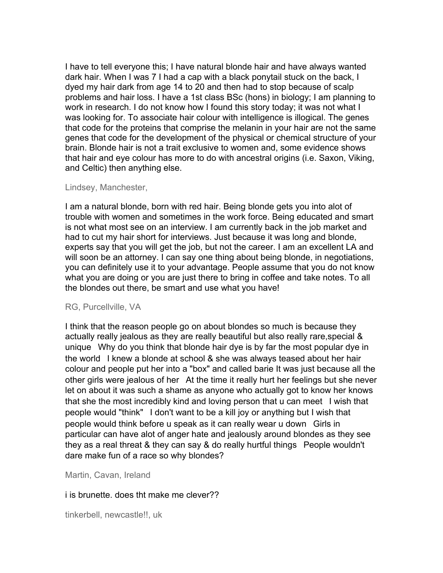I have to tell everyone this; I have natural blonde hair and have always wanted dark hair. When I was 7 I had a cap with a black ponytail stuck on the back, I dyed my hair dark from age 14 to 20 and then had to stop because of scalp problems and hair loss. I have a 1st class BSc (hons) in biology; I am planning to work in research. I do not know how I found this story today; it was not what I was looking for. To associate hair colour with intelligence is illogical. The genes that code for the proteins that comprise the melanin in your hair are not the same genes that code for the development of the physical or chemical structure of your brain. Blonde hair is not a trait exclusive to women and, some evidence shows that hair and eye colour has more to do with ancestral origins (i.e. Saxon, Viking, and Celtic) then anything else.

## Lindsey, Manchester,

I am a natural blonde, born with red hair. Being blonde gets you into alot of trouble with women and sometimes in the work force. Being educated and smart is not what most see on an interview. I am currently back in the job market and had to cut my hair short for interviews. Just because it was long and blonde, experts say that you will get the job, but not the career. I am an excellent LA and will soon be an attorney. I can say one thing about being blonde, in negotiations, you can definitely use it to your advantage. People assume that you do not know what you are doing or you are just there to bring in coffee and take notes. To all the blondes out there, be smart and use what you have!

## RG, Purcellville, VA

I think that the reason people go on about blondes so much is because they actually really jealous as they are really beautiful but also really rare,special & unique Why do you think that blonde hair dye is by far the most popular dye in the world I knew a blonde at school & she was always teased about her hair colour and people put her into a "box" and called barie It was just because all the other girls were jealous of her At the time it really hurt her feelings but she never let on about it was such a shame as anyone who actually got to know her knows that she the most incredibly kind and loving person that u can meet I wish that people would "think" I don't want to be a kill joy or anything but I wish that people would think before u speak as it can really wear u down Girls in particular can have alot of anger hate and jealously around blondes as they see they as a real threat & they can say & do really hurtful things People wouldn't dare make fun of a race so why blondes?

Martin, Cavan, Ireland

## i is brunette. does tht make me clever??

tinkerbell, newcastle!!, uk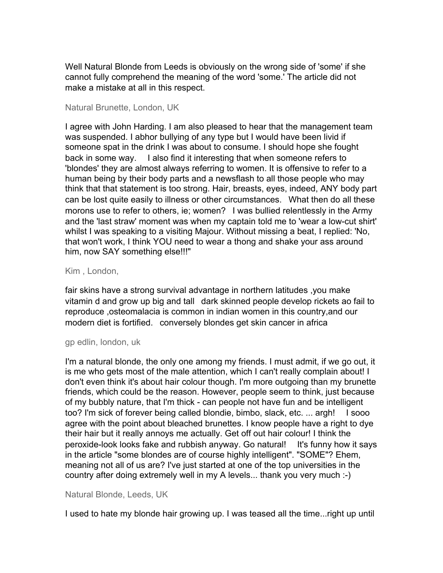Well Natural Blonde from Leeds is obviously on the wrong side of 'some' if she cannot fully comprehend the meaning of the word 'some.' The article did not make a mistake at all in this respect.

## Natural Brunette, London, UK

I agree with John Harding. I am also pleased to hear that the management team was suspended. I abhor bullying of any type but I would have been livid if someone spat in the drink I was about to consume. I should hope she fought back in some way. I also find it interesting that when someone refers to 'blondes' they are almost always referring to women. It is offensive to refer to a human being by their body parts and a newsflash to all those people who may think that that statement is too strong. Hair, breasts, eyes, indeed, ANY body part can be lost quite easily to illness or other circumstances. What then do all these morons use to refer to others, ie; women? I was bullied relentlessly in the Army and the 'last straw' moment was when my captain told me to 'wear a low-cut shirt' whilst I was speaking to a visiting Majour. Without missing a beat, I replied: 'No, that won't work, I think YOU need to wear a thong and shake your ass around him, now SAY something else!!!"

## Kim , London,

fair skins have a strong survival advantage in northern latitudes ,you make vitamin d and grow up big and tall dark skinned people develop rickets ao fail to reproduce ,osteomalacia is common in indian women in this country,and our modern diet is fortified. conversely blondes get skin cancer in africa

## gp edlin, london, uk

I'm a natural blonde, the only one among my friends. I must admit, if we go out, it is me who gets most of the male attention, which I can't really complain about! I don't even think it's about hair colour though. I'm more outgoing than my brunette friends, which could be the reason. However, people seem to think, just because of my bubbly nature, that I'm thick - can people not have fun and be intelligent too? I'm sick of forever being called blondie, bimbo, slack, etc. ... argh! I sooo agree with the point about bleached brunettes. I know people have a right to dye their hair but it really annoys me actually. Get off out hair colour! I think the peroxide-look looks fake and rubbish anyway. Go natural! It's funny how it says in the article "some blondes are of course highly intelligent". "SOME"? Ehem, meaning not all of us are? I've just started at one of the top universities in the country after doing extremely well in my A levels... thank you very much :-)

## Natural Blonde, Leeds, UK

I used to hate my blonde hair growing up. I was teased all the time...right up until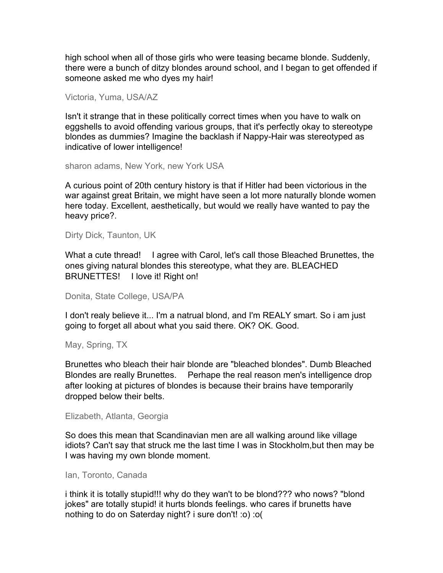high school when all of those girls who were teasing became blonde. Suddenly, there were a bunch of ditzy blondes around school, and I began to get offended if someone asked me who dyes my hair!

Victoria, Yuma, USA/AZ

Isn't it strange that in these politically correct times when you have to walk on eggshells to avoid offending various groups, that it's perfectly okay to stereotype blondes as dummies? Imagine the backlash if Nappy-Hair was stereotyped as indicative of lower intelligence!

sharon adams, New York, new York USA

A curious point of 20th century history is that if Hitler had been victorious in the war against great Britain, we might have seen a lot more naturally blonde women here today. Excellent, aesthetically, but would we really have wanted to pay the heavy price?.

Dirty Dick, Taunton, UK

What a cute thread! I agree with Carol, let's call those Bleached Brunettes, the ones giving natural blondes this stereotype, what they are. BLEACHED BRUNETTES! I love it! Right on!

Donita, State College, USA/PA

I don't realy believe it... I'm a natrual blond, and I'm REALY smart. So i am just going to forget all about what you said there. OK? OK. Good.

May, Spring, TX

Brunettes who bleach their hair blonde are "bleached blondes". Dumb Bleached Blondes are really Brunettes. Perhape the real reason men's intelligence drop after looking at pictures of blondes is because their brains have temporarily dropped below their belts.

Elizabeth, Atlanta, Georgia

So does this mean that Scandinavian men are all walking around like village idiots? Can't say that struck me the last time I was in Stockholm,but then may be I was having my own blonde moment.

#### Ian, Toronto, Canada

i think it is totally stupid!!! why do they wan't to be blond??? who nows? "blond jokes" are totally stupid! it hurts blonds feelings. who cares if brunetts have nothing to do on Saterday night? i sure don't! :o) :o(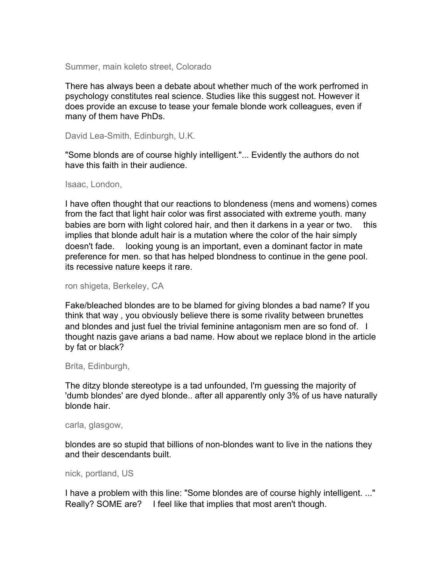Summer, main koleto street, Colorado

There has always been a debate about whether much of the work perfromed in psychology constitutes real science. Studies like this suggest not. However it does provide an excuse to tease your female blonde work colleagues, even if many of them have PhDs.

David Lea-Smith, Edinburgh, U.K.

"Some blonds are of course highly intelligent."... Evidently the authors do not have this faith in their audience.

#### Isaac, London,

I have often thought that our reactions to blondeness (mens and womens) comes from the fact that light hair color was first associated with extreme youth. many babies are born with light colored hair, and then it darkens in a year or two. this implies that blonde adult hair is a mutation where the color of the hair simply doesn't fade. looking young is an important, even a dominant factor in mate preference for men. so that has helped blondness to continue in the gene pool. its recessive nature keeps it rare.

ron shigeta, Berkeley, CA

Fake/bleached blondes are to be blamed for giving blondes a bad name? If you think that way , you obviously believe there is some rivality between brunettes and blondes and just fuel the trivial feminine antagonism men are so fond of. I thought nazis gave arians a bad name. How about we replace blond in the article by fat or black?

Brita, Edinburgh,

The ditzy blonde stereotype is a tad unfounded, I'm guessing the majority of 'dumb blondes' are dyed blonde.. after all apparently only 3% of us have naturally blonde hair.

#### carla, glasgow,

blondes are so stupid that billions of non-blondes want to live in the nations they and their descendants built.

nick, portland, US

I have a problem with this line: "Some blondes are of course highly intelligent. ..." Really? SOME are? I feel like that implies that most aren't though.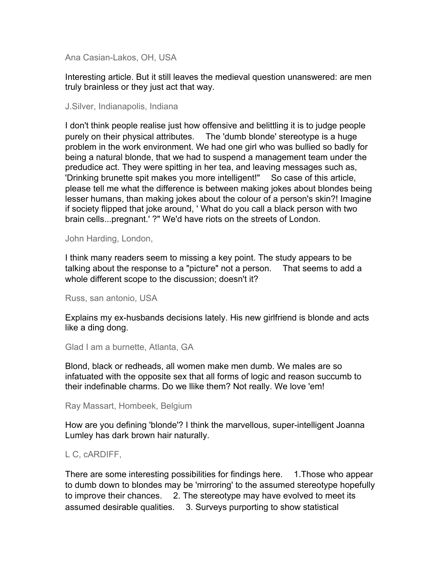Ana Casian-Lakos, OH, USA

Interesting article. But it still leaves the medieval question unanswered: are men truly brainless or they just act that way.

#### J.Silver, Indianapolis, Indiana

I don't think people realise just how offensive and belittling it is to judge people purely on their physical attributes. The 'dumb blonde' stereotype is a huge problem in the work environment. We had one girl who was bullied so badly for being a natural blonde, that we had to suspend a management team under the predudice act. They were spitting in her tea, and leaving messages such as, 'Drinking brunette spit makes you more intelligent!" So case of this article, please tell me what the difference is between making jokes about blondes being lesser humans, than making jokes about the colour of a person's skin?! Imagine if society flipped that joke around, ' What do you call a black person with two brain cells...pregnant.' ?" We'd have riots on the streets of London.

#### John Harding, London,

I think many readers seem to missing a key point. The study appears to be talking about the response to a "picture" not a person. That seems to add a whole different scope to the discussion; doesn't it?

Russ, san antonio, USA

Explains my ex-husbands decisions lately. His new girlfriend is blonde and acts like a ding dong.

Glad I am a burnette, Atlanta, GA

Blond, black or redheads, all women make men dumb. We males are so infatuated with the opposite sex that all forms of logic and reason succumb to their indefinable charms. Do we llike them? Not really. We love 'em!

Ray Massart, Hombeek, Belgium

How are you defining 'blonde'? I think the marvellous, super-intelligent Joanna Lumley has dark brown hair naturally.

## L C, cARDIFF,

There are some interesting possibilities for findings here. 1.Those who appear to dumb down to blondes may be 'mirroring' to the assumed stereotype hopefully to improve their chances. 2. The stereotype may have evolved to meet its assumed desirable qualities. 3. Surveys purporting to show statistical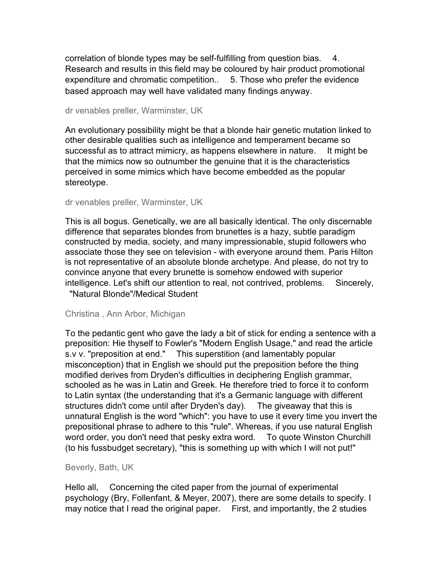correlation of blonde types may be self-fulfilling from question bias. 4. Research and results in this field may be coloured by hair product promotional expenditure and chromatic competition.. 5. Those who prefer the evidence based approach may well have validated many findings anyway.

dr venables preller, Warminster, UK

An evolutionary possibility might be that a blonde hair genetic mutation linked to other desirable qualities such as intelligence and temperament became so successful as to attract mimicry, as happens elsewhere in nature. It might be that the mimics now so outnumber the genuine that it is the characteristics perceived in some mimics which have become embedded as the popular stereotype.

#### dr venables preller, Warminster, UK

This is all bogus. Genetically, we are all basically identical. The only discernable difference that separates blondes from brunettes is a hazy, subtle paradigm constructed by media, society, and many impressionable, stupid followers who associate those they see on television - with everyone around them. Paris Hilton is not representative of an absolute blonde archetype. And please, do not try to convince anyone that every brunette is somehow endowed with superior intelligence. Let's shift our attention to real, not contrived, problems. Sincerely, "Natural Blonde"/Medical Student

#### Christina , Ann Arbor, Michigan

To the pedantic gent who gave the lady a bit of stick for ending a sentence with a preposition: Hie thyself to Fowler's "Modern English Usage," and read the article s.v v. "preposition at end." This superstition (and lamentably popular misconception) that in English we should put the preposition before the thing modified derives from Dryden's difficulties in deciphering English grammar, schooled as he was in Latin and Greek. He therefore tried to force it to conform to Latin syntax (the understanding that it's a Germanic language with different structures didn't come until after Dryden's day). The giveaway that this is unnatural English is the word "which": you have to use it every time you invert the prepositional phrase to adhere to this "rule". Whereas, if you use natural English word order, you don't need that pesky extra word. To quote Winston Churchill (to his fussbudget secretary), "this is something up with which I will not put!"

## Beverly, Bath, UK

Hello all, Concerning the cited paper from the journal of experimental psychology (Bry, Follenfant, & Meyer, 2007), there are some details to specify. I may notice that I read the original paper. First, and importantly, the 2 studies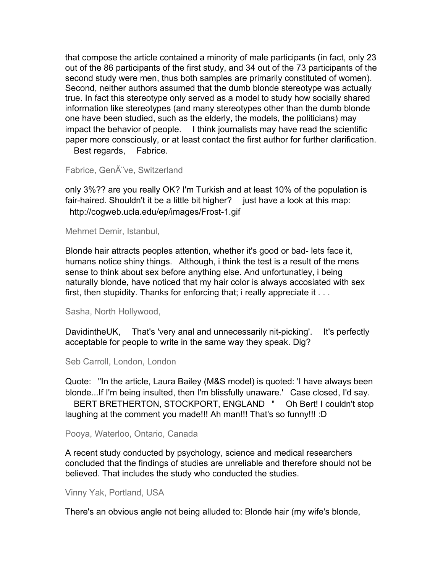that compose the article contained a minority of male participants (in fact, only 23 out of the 86 participants of the first study, and 34 out of the 73 participants of the second study were men, thus both samples are primarily constituted of women). Second, neither authors assumed that the dumb blonde stereotype was actually true. In fact this stereotype only served as a model to study how socially shared information like stereotypes (and many stereotypes other than the dumb blonde one have been studied, such as the elderly, the models, the politicians) may impact the behavior of people. I think journalists may have read the scientific paper more consciously, or at least contact the first author for further clarification. Best regards, Fabrice.

Fabrice, Gen ve, Switzerland

only 3%?? are you really OK? I'm Turkish and at least 10% of the population is fair-haired. Shouldn't it be a little bit higher? just have a look at this map: http://cogweb.ucla.edu/ep/images/Frost-1.gif

Mehmet Demir, Istanbul,

Blonde hair attracts peoples attention, whether it's good or bad- lets face it, humans notice shiny things. Although, i think the test is a result of the mens sense to think about sex before anything else. And unfortunatley, i being naturally blonde, have noticed that my hair color is always accosiated with sex first, then stupidity. Thanks for enforcing that; i really appreciate it . . .

Sasha, North Hollywood,

DavidintheUK, That's 'very anal and unnecessarily nit-picking'. It's perfectly acceptable for people to write in the same way they speak. Dig?

Seb Carroll, London, London

Quote: "In the article, Laura Bailey (M&S model) is quoted: 'I have always been blonde...If I'm being insulted, then I'm blissfully unaware.' Case closed, I'd say.

 BERT BRETHERTON, STOCKPORT, ENGLAND " Oh Bert! I couldn't stop laughing at the comment you made!!! Ah man!!! That's so funny!!! :D

Pooya, Waterloo, Ontario, Canada

A recent study conducted by psychology, science and medical researchers concluded that the findings of studies are unreliable and therefore should not be believed. That includes the study who conducted the studies.

Vinny Yak, Portland, USA

There's an obvious angle not being alluded to: Blonde hair (my wife's blonde,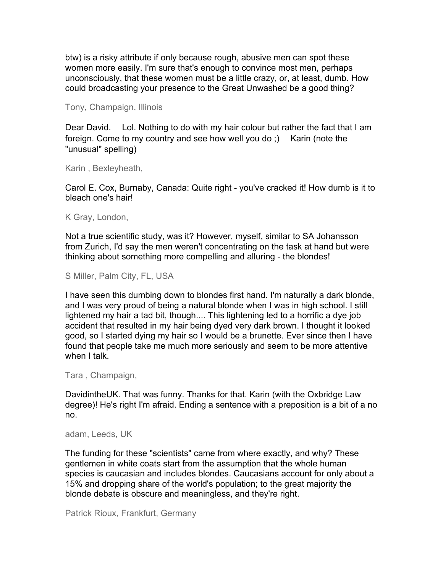btw) is a risky attribute if only because rough, abusive men can spot these women more easily. I'm sure that's enough to convince most men, perhaps unconsciously, that these women must be a little crazy, or, at least, dumb. How could broadcasting your presence to the Great Unwashed be a good thing?

Tony, Champaign, Illinois

Dear David. Lol. Nothing to do with my hair colour but rather the fact that I am foreign. Come to my country and see how well you do ;) Karin (note the "unusual" spelling)

Karin , Bexleyheath,

Carol E. Cox, Burnaby, Canada: Quite right - you've cracked it! How dumb is it to bleach one's hair!

K Gray, London,

Not a true scientific study, was it? However, myself, similar to SA Johansson from Zurich, I'd say the men weren't concentrating on the task at hand but were thinking about something more compelling and alluring - the blondes!

S Miller, Palm City, FL, USA

I have seen this dumbing down to blondes first hand. I'm naturally a dark blonde, and I was very proud of being a natural blonde when I was in high school. I still lightened my hair a tad bit, though.... This lightening led to a horrific a dye job accident that resulted in my hair being dyed very dark brown. I thought it looked good, so I started dying my hair so I would be a brunette. Ever since then I have found that people take me much more seriously and seem to be more attentive when I talk.

Tara , Champaign,

DavidintheUK. That was funny. Thanks for that. Karin (with the Oxbridge Law degree)! He's right I'm afraid. Ending a sentence with a preposition is a bit of a no no.

adam, Leeds, UK

The funding for these "scientists" came from where exactly, and why? These gentlemen in white coats start from the assumption that the whole human species is caucasian and includes blondes. Caucasians account for only about a 15% and dropping share of the world's population; to the great majority the blonde debate is obscure and meaningless, and they're right.

Patrick Rioux, Frankfurt, Germany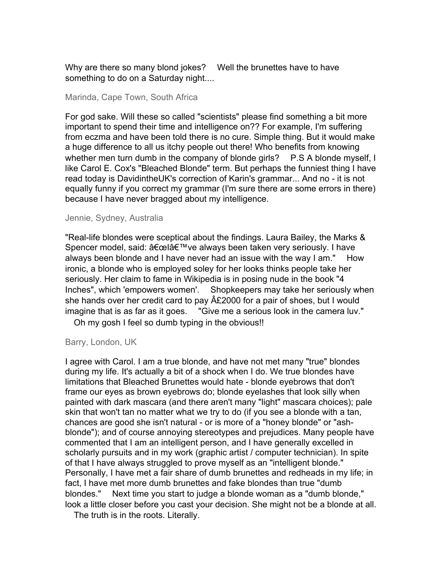Why are there so many blond jokes? Well the brunettes have to have something to do on a Saturday night....

#### Marinda, Cape Town, South Africa

For god sake. Will these so called "scientists" please find something a bit more important to spend their time and intelligence on?? For example, I'm suffering from eczma and have been told there is no cure. Simple thing. But it would make a huge difference to all us itchy people out there! Who benefits from knowing whether men turn dumb in the company of blonde girls? P.S A blonde myself, I like Carol E. Cox's "Bleached Blonde" term. But perhaps the funniest thing I have read today is DavidintheUK's correction of Karin's grammar... And no - it is not equally funny if you correct my grammar (I'm sure there are some errors in there) because I have never bragged about my intelligence.

#### Jennie, Sydney, Australia

"Real-life blondes were sceptical about the findings. Laura Bailey, the Marks & Spencer model, said: "l've always been taken very seriously. I have always been blonde and I have never had an issue with the way I am." How ironic, a blonde who is employed soley for her looks thinks people take her seriously. Her claim to fame in Wikipedia is in posing nude in the book "4 Inches", which 'empowers women'. Shopkeepers may take her seriously when she hands over her credit card to pay  $\hat{A}E2000$  for a pair of shoes, but I would imagine that is as far as it goes. "Give me a serious look in the camera luv."

Oh my gosh I feel so dumb typing in the obvious!!

#### Barry, London, UK

I agree with Carol. I am a true blonde, and have not met many "true" blondes during my life. It's actually a bit of a shock when I do. We true blondes have limitations that Bleached Brunettes would hate - blonde eyebrows that don't frame our eyes as brown eyebrows do; blonde eyelashes that look silly when painted with dark mascara (and there aren't many "light" mascara choices); pale skin that won't tan no matter what we try to do (if you see a blonde with a tan, chances are good she isn't natural - or is more of a "honey blonde" or "ashblonde"); and of course annoying stereotypes and prejudices. Many people have commented that I am an intelligent person, and I have generally excelled in scholarly pursuits and in my work (graphic artist / computer technician). In spite of that I have always struggled to prove myself as an "intelligent blonde." Personally, I have met a fair share of dumb brunettes and redheads in my life; in fact, I have met more dumb brunettes and fake blondes than true "dumb blondes." Next time you start to judge a blonde woman as a "dumb blonde," look a little closer before you cast your decision. She might not be a blonde at all.

The truth is in the roots. Literally.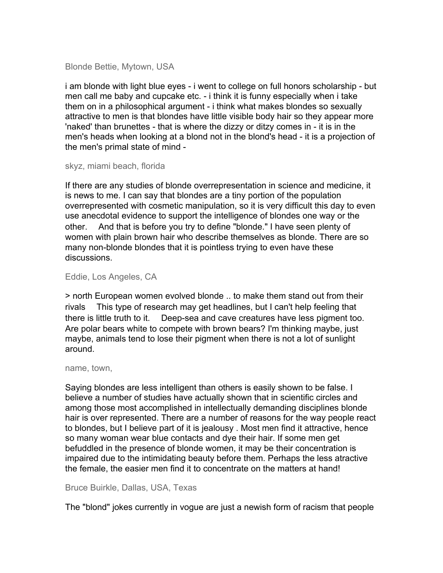## Blonde Bettie, Mytown, USA

i am blonde with light blue eyes - i went to college on full honors scholarship - but men call me baby and cupcake etc. - i think it is funny especially when i take them on in a philosophical argument - i think what makes blondes so sexually attractive to men is that blondes have little visible body hair so they appear more 'naked' than brunettes - that is where the dizzy or ditzy comes in - it is in the men's heads when looking at a blond not in the blond's head - it is a projection of the men's primal state of mind -

#### skyz, miami beach, florida

If there are any studies of blonde overrepresentation in science and medicine, it is news to me. I can say that blondes are a tiny portion of the population overrepresented with cosmetic manipulation, so it is very difficult this day to even use anecdotal evidence to support the intelligence of blondes one way or the other. And that is before you try to define "blonde." I have seen plenty of women with plain brown hair who describe themselves as blonde. There are so many non-blonde blondes that it is pointless trying to even have these discussions.

## Eddie, Los Angeles, CA

> north European women evolved blonde .. to make them stand out from their rivals This type of research may get headlines, but I can't help feeling that there is little truth to it. Deep-sea and cave creatures have less pigment too. Are polar bears white to compete with brown bears? I'm thinking maybe, just maybe, animals tend to lose their pigment when there is not a lot of sunlight around.

#### name, town,

Saying blondes are less intelligent than others is easily shown to be false. I believe a number of studies have actually shown that in scientific circles and among those most accomplished in intellectually demanding disciplines blonde hair is over represented. There are a number of reasons for the way people react to blondes, but I believe part of it is jealousy . Most men find it attractive, hence so many woman wear blue contacts and dye their hair. If some men get befuddled in the presence of blonde women, it may be their concentration is impaired due to the intimidating beauty before them. Perhaps the less atractive the female, the easier men find it to concentrate on the matters at hand!

# Bruce Buirkle, Dallas, USA, Texas

The "blond" jokes currently in vogue are just a newish form of racism that people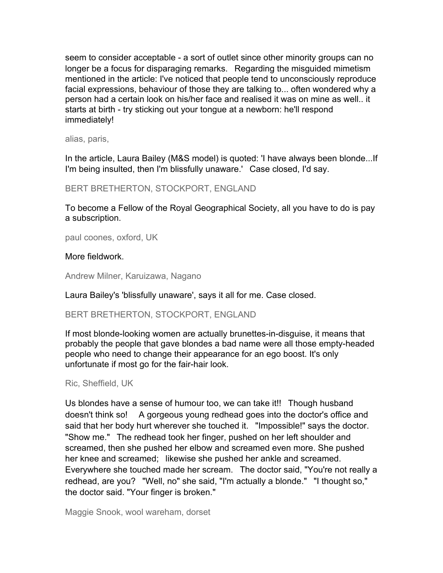seem to consider acceptable - a sort of outlet since other minority groups can no longer be a focus for disparaging remarks. Regarding the misguided mimetism mentioned in the article: I've noticed that people tend to unconsciously reproduce facial expressions, behaviour of those they are talking to... often wondered why a person had a certain look on his/her face and realised it was on mine as well.. it starts at birth - try sticking out your tongue at a newborn: he'll respond immediately!

alias, paris,

In the article, Laura Bailey (M&S model) is quoted: 'I have always been blonde...If I'm being insulted, then I'm blissfully unaware.' Case closed, I'd say.

BERT BRETHERTON, STOCKPORT, ENGLAND

To become a Fellow of the Royal Geographical Society, all you have to do is pay a subscription.

paul coones, oxford, UK

# More fieldwork.

Andrew Milner, Karuizawa, Nagano

Laura Bailey's 'blissfully unaware', says it all for me. Case closed.

# BERT BRETHERTON, STOCKPORT, ENGLAND

If most blonde-looking women are actually brunettes-in-disguise, it means that probably the people that gave blondes a bad name were all those empty-headed people who need to change their appearance for an ego boost. It's only unfortunate if most go for the fair-hair look.

## Ric, Sheffield, UK

Us blondes have a sense of humour too, we can take it!! Though husband doesn't think so! A gorgeous young redhead goes into the doctor's office and said that her body hurt wherever she touched it. "Impossible!" says the doctor. "Show me." The redhead took her finger, pushed on her left shoulder and screamed, then she pushed her elbow and screamed even more. She pushed her knee and screamed; likewise she pushed her ankle and screamed. Everywhere she touched made her scream. The doctor said, "You're not really a redhead, are you? "Well, no" she said, "I'm actually a blonde." "I thought so," the doctor said. "Your finger is broken."

Maggie Snook, wool wareham, dorset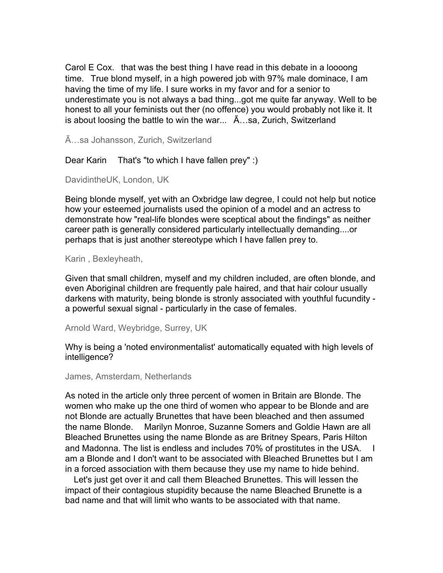Carol E Cox. that was the best thing I have read in this debate in a loooong time. True blond myself, in a high powered job with 97% male dominace, I am having the time of my life. I sure works in my favor and for a senior to underestimate you is not always a bad thing...got me quite far anyway. Well to be honest to all your feminists out ther (no offence) you would probably not like it. It is about loosing the battle to win the war... Ã…sa, Zurich, Switzerland

Ã…sa Johansson, Zurich, Switzerland

Dear Karin That's "to which I have fallen prey" :)

DavidintheUK, London, UK

Being blonde myself, yet with an Oxbridge law degree, I could not help but notice how your esteemed journalists used the opinion of a model and an actress to demonstrate how "real-life blondes were sceptical about the findings" as neither career path is generally considered particularly intellectually demanding....or perhaps that is just another stereotype which I have fallen prey to.

Karin , Bexleyheath,

Given that small children, myself and my children included, are often blonde, and even Aboriginal children are frequently pale haired, and that hair colour usually darkens with maturity, being blonde is stronly associated with youthful fucundity a powerful sexual signal - particularly in the case of females.

Arnold Ward, Weybridge, Surrey, UK

Why is being a 'noted environmentalist' automatically equated with high levels of intelligence?

James, Amsterdam, Netherlands

As noted in the article only three percent of women in Britain are Blonde. The women who make up the one third of women who appear to be Blonde and are not Blonde are actually Brunettes that have been bleached and then assumed the name Blonde. Marilyn Monroe, Suzanne Somers and Goldie Hawn are all Bleached Brunettes using the name Blonde as are Britney Spears, Paris Hilton and Madonna. The list is endless and includes 70% of prostitutes in the USA. I am a Blonde and I don't want to be associated with Bleached Brunettes but I am in a forced association with them because they use my name to hide behind.

 Let's just get over it and call them Bleached Brunettes. This will lessen the impact of their contagious stupidity because the name Bleached Brunette is a bad name and that will limit who wants to be associated with that name.